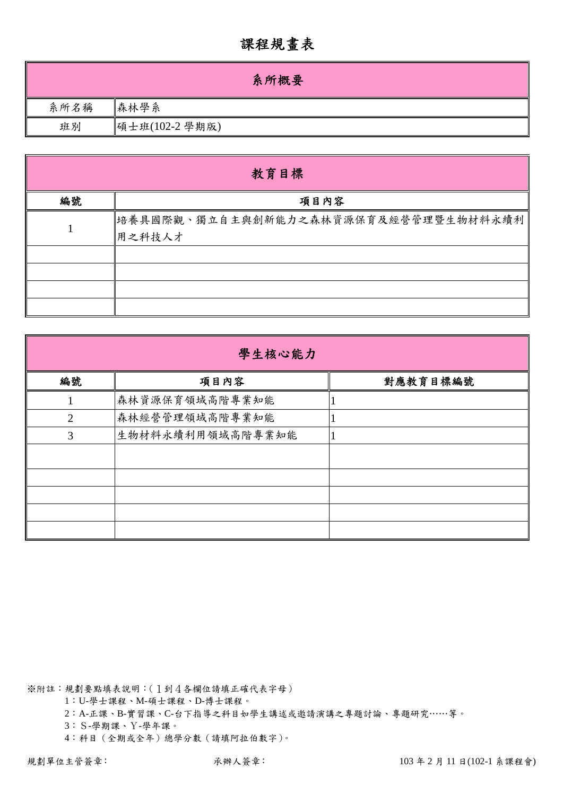## 課程規畫表

|      | 系所概要           |
|------|----------------|
| 系所名稱 | 森林學系           |
| 班別   | 碩士班(102-2 學期版) |

|    | 教育目標                                            |
|----|-------------------------------------------------|
| 編號 | 項目內容                                            |
|    | 培養具國際觀、獨立自主與創新能力之森林資源保育及經營管理暨生物材料永續利 <br>用之科技人才 |
|    |                                                 |
|    |                                                 |

| 學生核心能力 |                  |          |  |  |  |  |  |  |
|--------|------------------|----------|--|--|--|--|--|--|
| 編號     | 項目內容             | 對應教育目標編號 |  |  |  |  |  |  |
|        | 森林資源保育領域高階專業知能   |          |  |  |  |  |  |  |
| 2      | 森林經營管理領域高階專業知能   |          |  |  |  |  |  |  |
| 3      | 生物材料永續利用領域高階專業知能 |          |  |  |  |  |  |  |
|        |                  |          |  |  |  |  |  |  |
|        |                  |          |  |  |  |  |  |  |
|        |                  |          |  |  |  |  |  |  |
|        |                  |          |  |  |  |  |  |  |
|        |                  |          |  |  |  |  |  |  |

※附註:規劃要點填表說明:(1到4各欄位請填正確代表字母)

1:U-學士課程、M-碩士課程、D-博士課程。

2:A-正課、B-實習課、C-台下指導之科目如學生講述或邀請演講之專題討論、專題研究……等。

3:S-學期課、Y-學年課。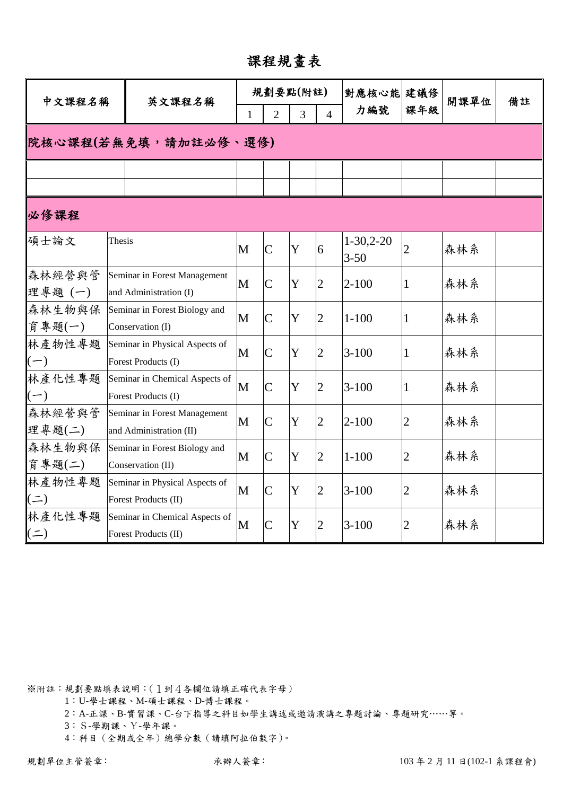課程規畫表

| 中文課程名稱                        |                      | 英文課程名稱                                                  |                                                       |                    | 規劃要點(附註) |                | 對應核心能 建議修                    |                | 開課單位 | 備註 |
|-------------------------------|----------------------|---------------------------------------------------------|-------------------------------------------------------|--------------------|----------|----------------|------------------------------|----------------|------|----|
|                               |                      |                                                         | 3<br>$\overline{2}$<br>$\overline{4}$<br>$\mathbf{1}$ |                    |          | 力編號            | 課年級                          |                |      |    |
|                               | 院核心課程(若無免填,請加註必修、選修) |                                                         |                                                       |                    |          |                |                              |                |      |    |
|                               |                      |                                                         |                                                       |                    |          |                |                              |                |      |    |
|                               |                      |                                                         |                                                       |                    |          |                |                              |                |      |    |
| 必修課程                          |                      |                                                         |                                                       |                    |          |                |                              |                |      |    |
| 碩士論文                          | Thesis               |                                                         | M                                                     | $\overline{C}$     | Y        | 6              | $1 - 30, 2 - 20$<br>$3 - 50$ | $\overline{2}$ | 森林系  |    |
| 森林經營與管<br>理專題(一)              |                      | Seminar in Forest Management<br>and Administration (I)  | M                                                     | $\overline{C}$     | Y        | $\overline{2}$ | $2 - 100$                    | 1              | 森林系  |    |
| 森林生物與保<br>育專題(一)              |                      | Seminar in Forest Biology and<br>Conservation (I)       | M                                                     | $\overline{C}$     | Y        | $\overline{2}$ | $1 - 100$                    | 1              | 森林系  |    |
| 林產物性專題<br>$(-)$               |                      | Seminar in Physical Aspects of<br>Forest Products (I)   | M                                                     | $\overline{C}$     | Y        | $\overline{2}$ | $3 - 100$                    | 1              | 森林系  |    |
| 林產化性專題<br>$(-)$               |                      | Seminar in Chemical Aspects of<br>Forest Products (I)   | M                                                     | $\mathsf C$        | Y        | $\overline{2}$ | $3 - 100$                    | 1              | 森林系  |    |
| 森林經營與管<br>埋專題(二)              |                      | Seminar in Forest Management<br>and Administration (II) | M                                                     | $\overline{C}$     | Y        | $\overline{2}$ | $2 - 100$                    | 2              | 森林系  |    |
| 森林生物與保<br>育專題(二)              |                      | Seminar in Forest Biology and<br>Conservation (II)      | M                                                     | $\overline{\rm C}$ | Y        | $\overline{2}$ | $1 - 100$                    | $\overline{2}$ | 森林系  |    |
| 林產物性專題<br>$\parallel$ ( $=$ ) |                      | Seminar in Physical Aspects of<br>Forest Products (II)  | M                                                     | $\overline{C}$     | Y        | $\overline{2}$ | $3 - 100$                    | 2              | 森林系  |    |
| 林產化性專題<br>$(\dot{=})$         |                      | Seminar in Chemical Aspects of<br>Forest Products (II)  | M                                                     | $\overline{\rm C}$ | Y        | $\overline{2}$ | $3 - 100$                    | 2              | 森林系  |    |

1:U-學士課程、M-碩士課程、D-博士課程。

2:A-正課、B-實習課、C-台下指導之科目如學生講述或邀請演講之專題討論、專題研究……等。

3:S-學期課、Y-學年課。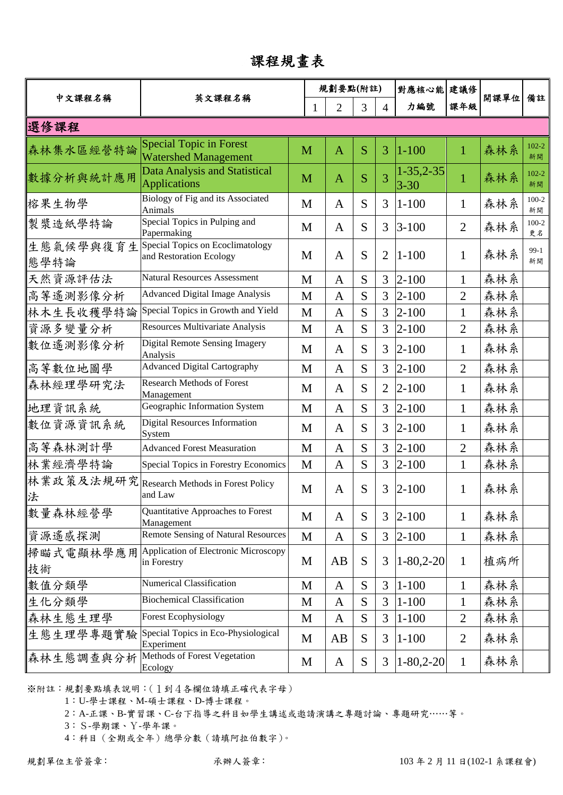## 課程規畫表

|                   |                                                               |   |   | 規劃要點(附註)       |   |                | 對應核心能                        | 建議修            |      |                 |
|-------------------|---------------------------------------------------------------|---|---|----------------|---|----------------|------------------------------|----------------|------|-----------------|
| 中文課程名稱            | 英文課程名稱                                                        |   | 1 | 2              | 3 | $\overline{4}$ | 力編號                          | 課年級            | 開課單位 | 備註              |
| 選修課程              |                                                               |   |   |                |   |                |                              |                |      |                 |
| 森林集水區經營特論         | <b>Special Topic in Forest</b><br><b>Watershed Management</b> |   | M | $\overline{A}$ | S | 3              | $1 - 100$                    | $\mathbf{1}$   | 森林系  | $102 - 2$<br>新開 |
| 數據分析與統計應用         | <b>Data Analysis and Statistical</b><br><b>Applications</b>   |   | M | $\mathbf{A}$   | S | 3              | $1 - 35, 2 - 35$<br>$3 - 30$ | 1              | 森林系  | $102 - 2$<br>新開 |
| 榕果生物學             | Biology of Fig and its Associated<br>Animals                  |   | M | $\mathbf{A}$   | S | 3              | $1 - 100$                    | $\mathbf{1}$   | 森林系  | $100-2$<br>新開   |
| 製漿造紙學特論           | Special Topics in Pulping and<br>Papermaking                  | M |   | $\mathbf{A}$   | S | 3              | $3 - 100$                    | $\overline{2}$ | 森林系  | $100-2$<br>更名   |
| 生態氣候學與復育生<br>態學特論 | Special Topics on Ecoclimatology<br>and Restoration Ecology   |   | M | $\mathbf{A}$   | S | $\overline{2}$ | $1 - 100$                    | 1              | 森林系  | $99-1$<br>新開    |
| 天然資源評估法           | <b>Natural Resources Assessment</b>                           | M |   | $\overline{A}$ | S | 3              | $ 2 - 100$                   | 1              | 森林系  |                 |
| 高等遙測影像分析          | <b>Advanced Digital Image Analysis</b>                        | M |   | $\mathbf{A}$   | S | 3              | $2 - 100$                    | $\overline{2}$ | 森林系  |                 |
| 林木生長收穫學特論         | Special Topics in Growth and Yield                            |   | M | $\mathbf{A}$   | S | 3              | $2 - 100$                    | 1              | 森林系  |                 |
| 資源多變量分析           | Resources Multivariate Analysis                               | M |   | $\mathbf{A}$   | S | 3              | $2 - 100$                    | $\overline{2}$ | 森林系  |                 |
| 數位遙測影像分析          | <b>Digital Remote Sensing Imagery</b><br>Analysis             | M |   | $\mathbf{A}$   | S | 3              | $2 - 100$                    | $\mathbf{1}$   | 森林系  |                 |
| 高等數位地圖學           | <b>Advanced Digital Cartography</b>                           |   | M | $\mathbf{A}$   | S | 3              | $2 - 100$                    | $\overline{2}$ | 森林系  |                 |
| 森林經理學研究法          | <b>Research Methods of Forest</b><br>Management               | M |   | $\mathbf{A}$   | S | $\overline{2}$ | $2 - 100$                    | $\mathbf{1}$   | 森林系  |                 |
| 地理資訊系統            | Geographic Information System                                 |   | M | $\mathbf{A}$   | S | 3              | $2 - 100$                    | 1              | 森林系  |                 |
| 數位資源資訊系統          | <b>Digital Resources Information</b><br>System                | M |   | $\mathbf{A}$   | S | 3              | $2 - 100$                    | $\mathbf{1}$   | 森林系  |                 |
| 高等森林測計學           | <b>Advanced Forest Measuration</b>                            |   | M | $\mathbf{A}$   | S | 3              | $2 - 100$                    | $\overline{2}$ | 森林系  |                 |
| 林業經濟學特論           | Special Topics in Forestry Economics                          | M |   | $\mathbf{A}$   | S | 3              | $2 - 100$                    | $\mathbf{1}$   | 森林系  |                 |
| 林業政策及法規研究<br>法    | Research Methods in Forest Policy<br>and Law                  |   | M | A              | S | 3              | $2 - 100$                    | $\mathbf{1}$   | 森林系  |                 |
| 數量森林經營學           | Quantitative Approaches to Forest<br>Management               |   | M | $\mathbf{A}$   | S | 3              | $2 - 100$                    | 1              | 森林系  |                 |
| 資源遙感探測            | <b>Remote Sensing of Natural Resources</b>                    |   | M | $\mathbf{A}$   | S | 3              | $2 - 100$                    | $\mathbf{1}$   | 森林系  |                 |
| 掃瞄式電顯林學應用<br>技術   | Application of Electronic Microscopy<br>in Forestry           |   | M | AB             | S | 3              | $1 - 80,2 - 20$              | $\mathbf{1}$   | 植病所  |                 |
| 數值分類學             | <b>Numerical Classification</b>                               |   | M | $\mathbf{A}$   | S | 3              | $1 - 100$                    | $\mathbf{1}$   | 森林系  |                 |
| 生化分類學             | <b>Biochemical Classification</b>                             |   | M | $\mathbf{A}$   | S | 3              | $1 - 100$                    | $\mathbf 1$    | 森林系  |                 |
| 森林生態生理學           | <b>Forest Ecophysiology</b>                                   |   | M | $\mathbf{A}$   | S | 3              | $1 - 100$                    | $\overline{2}$ | 森林系  |                 |
| 生態生理學專題實驗         | Special Topics in Eco-Physiological<br>Experiment             | M |   | AB             | S | 3              | $1 - 100$                    | $\overline{2}$ | 森林系  |                 |
| 森林生態調查與分析         | Methods of Forest Vegetation<br>Ecology                       |   | M | $\mathbf{A}$   | S | 3              | $1-80,2-20$                  | $\mathbf{1}$   | 森林系  |                 |

※附註:規劃要點填表說明:(1到4各欄位請填正確代表字母)

1:U-學士課程、M-碩士課程、D-博士課程。

2:A-正課、B-實習課、C-台下指導之科目如學生講述或邀請演講之專題討論、專題研究……等。

3:S-學期課、Y-學年課。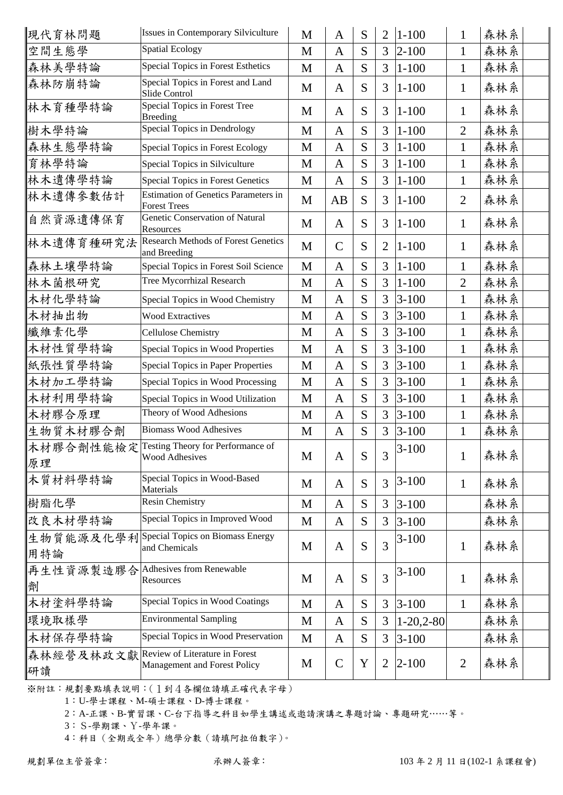| 現代育林問題           | Issues in Contemporary Silviculture                                  | M | $\mathbf{A}$ | S | $\overline{2}$ | $1 - 100$   | 1              | 森林系 |
|------------------|----------------------------------------------------------------------|---|--------------|---|----------------|-------------|----------------|-----|
| 空間生態學            | <b>Spatial Ecology</b>                                               | M | $\mathbf{A}$ | S | 3              | $2 - 100$   | $\mathbf{1}$   | 森林系 |
| 森林美學特論           | <b>Special Topics in Forest Esthetics</b>                            | M | $\mathbf{A}$ | S | 3              | $1 - 100$   | $\mathbf{1}$   | 森林系 |
| 森林防崩特論           | Special Topics in Forest and Land<br>Slide Control                   | M | $\mathbf{A}$ | S | 3              | $1 - 100$   | $\mathbf{1}$   | 森林系 |
| 林木育種學特論          | Special Topics in Forest Tree<br><b>Breeding</b>                     | M | $\mathbf{A}$ | S | 3              | $1 - 100$   | $\mathbf 1$    | 森林系 |
| 樹木學特論            | Special Topics in Dendrology                                         | M | $\mathbf{A}$ | S | 3              | $1 - 100$   | $\overline{2}$ | 森林系 |
| 森林生態學特論          | Special Topics in Forest Ecology                                     | M | $\mathbf{A}$ | S | 3              | $1 - 100$   | $\mathbf{1}$   | 森林系 |
| 育林學特論            | Special Topics in Silviculture                                       | M | $\mathbf{A}$ | S | 3              | $1 - 100$   | $\mathbf{1}$   | 森林系 |
| 林木遺傳學特論          | Special Topics in Forest Genetics                                    | M | $\mathbf{A}$ | S | 3              | $1 - 100$   | 1              | 森林系 |
| 林木遺傳參數估計         | <b>Estimation of Genetics Parameters in</b><br><b>Forest Trees</b>   | M | AB           | S | 3              | $1 - 100$   | $\overline{2}$ | 森林系 |
| 自然資源遺傳保育         | Genetic Conservation of Natural<br>Resources                         | M | $\mathbf{A}$ | S | 3              | $1 - 100$   | $\mathbf{1}$   | 森林系 |
| 林木遺傳育種研究法        | <b>Research Methods of Forest Genetics</b><br>and Breeding           | M | $\mathbf C$  | S | 2              | $1 - 100$   | $\mathbf{1}$   | 森林系 |
| 森林土壤學特論          | Special Topics in Forest Soil Science                                | M | $\mathbf{A}$ | S | 3              | $1 - 100$   | $\mathbf{1}$   | 森林系 |
| 林木菌根研究           | Tree Mycorrhizal Research                                            | M | $\mathbf{A}$ | S | 3              | $1 - 100$   | $\overline{2}$ | 森林系 |
| 木材化學特論           | Special Topics in Wood Chemistry                                     | M | $\mathbf{A}$ | S | 3              | $3 - 100$   | $\mathbf{1}$   | 森林系 |
| 木材抽出物            | <b>Wood Extractives</b>                                              | M | $\mathbf{A}$ | S | 3              | $3 - 100$   | $\mathbf 1$    | 森林系 |
| 纖維素化學            | Cellulose Chemistry                                                  | M | $\mathbf{A}$ | S | 3              | $3 - 100$   | 1              | 森林系 |
| 木材性質學特論          | Special Topics in Wood Properties                                    | M | $\mathbf{A}$ | S | 3              | $3 - 100$   | 1              | 森林系 |
| 紙張性質學特論          | <b>Special Topics in Paper Properties</b>                            | M | $\mathbf{A}$ | S | 3              | $3 - 100$   | $\mathbf{1}$   | 森林系 |
| 木材加工學特論          | Special Topics in Wood Processing                                    | M | $\mathbf{A}$ | S | 3              | $3 - 100$   | $\mathbf{1}$   | 森林系 |
| 木材利用學特論          | Special Topics in Wood Utilization                                   | M | $\mathbf{A}$ | S | 3              | $3 - 100$   | 1              | 森林系 |
| 木材膠合原理           | Theory of Wood Adhesions                                             | M | $\mathbf{A}$ | S | 3              | $3 - 100$   | 1              | 森林系 |
| 生物質木材膠合劑         | <b>Biomass Wood Adhesives</b>                                        | M | $\mathbf{A}$ | S | 3              | $3 - 100$   | $\mathbf{1}$   | 森林系 |
| 原理               | 木材膠合劑性能檢定 Testing Theory for Performance of<br><b>Wood Adhesives</b> | M | $\mathbf{A}$ | S | 3              | $3-100$     | $\mathbf{1}$   | 森林系 |
| 木質材料學特論          | Special Topics in Wood-Based<br>Materials                            | M | $\mathbf{A}$ | S | 3              | $3 - 100$   | $\mathbf{1}$   | 森林系 |
| 樹脂化學             | <b>Resin Chemistry</b>                                               | M | $\mathbf{A}$ | S | 3              | $3-100$     |                | 森林系 |
| 改良木材學特論          | Special Topics in Improved Wood                                      | M | $\mathbf{A}$ | S | 3              | $3 - 100$   |                | 森林系 |
| 生物質能源及化學利<br>用特論 | Special Topics on Biomass Energy<br>and Chemicals                    | M | $\mathbf{A}$ | S | 3              | $3 - 100$   | $\mathbf{1}$   | 森林系 |
| 再生性資源製造膠合<br>劑   | <b>Adhesives from Renewable</b><br>Resources                         | M | $\mathbf{A}$ | S | 3              | $3 - 100$   | $\mathbf{1}$   | 森林系 |
| 木材塗料學特論          | Special Topics in Wood Coatings                                      | M | $\mathbf{A}$ | S | 3              | $3 - 100$   | $\mathbf{1}$   | 森林系 |
| 環境取樣學            | <b>Environmental Sampling</b>                                        | M | A            | S | 3              | $1-20,2-80$ |                | 森林系 |
| 木材保存學特論          | Special Topics in Wood Preservation                                  | M | $\mathbf{A}$ | S | 3              | $3 - 100$   |                | 森林系 |
| 森林經營及林政文獻<br>研讀  | Review of Literature in Forest<br>Management and Forest Policy       | M | $\mathbf C$  | Y | $\overline{2}$ | $ 2 - 100$  | $\overline{2}$ | 森林系 |
|                  |                                                                      |   |              |   |                |             |                |     |

1:U-學士課程、M-碩士課程、D-博士課程。

2:A-正課、B-實習課、C-台下指導之科目如學生講述或邀請演講之專題討論、專題研究……等。

3:S-學期課、Y-學年課。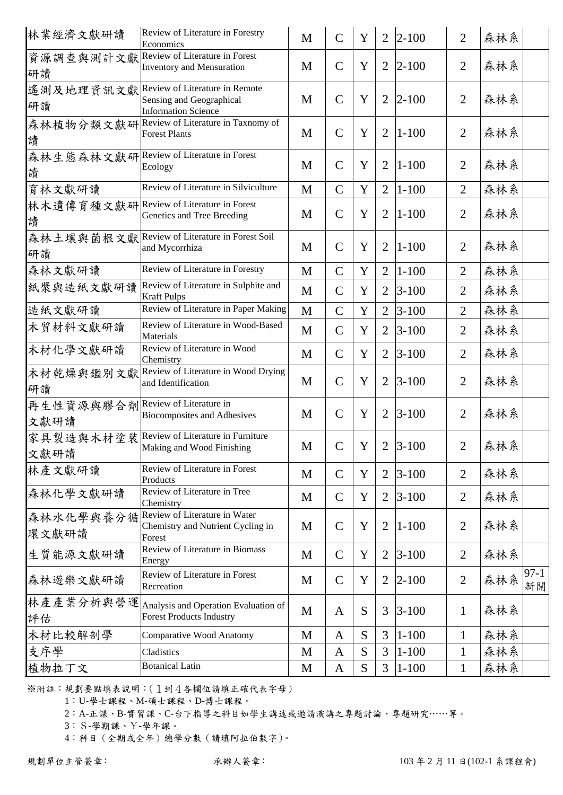| 林業經濟文獻研讀                                 | Review of Literature in Forestry<br>Economics                                            | M | $\mathbf C$   | Y | $\overline{2}$ | $ 2 - 100$ | $\overline{2}$ | 森林系 |              |
|------------------------------------------|------------------------------------------------------------------------------------------|---|---------------|---|----------------|------------|----------------|-----|--------------|
| 資源調查與測計文獻<br>研讀                          | Review of Literature in Forest<br><b>Inventory and Mensuration</b>                       | M | $\mathcal{C}$ | Y | $\overline{2}$ | $2 - 100$  | $\overline{2}$ | 森林系 |              |
| 遙測及地理資訊文獻<br>研讀                          | Review of Literature in Remote<br>Sensing and Geographical<br><b>Information Science</b> | M | $\mathcal{C}$ | Y | $\overline{2}$ | $2 - 100$  | $\overline{2}$ | 森林系 |              |
| 讀                                        | 森林植物分類文獻研 Review of Literature in Taxnomy of<br><b>Forest Plants</b>                     | M | $\mathbf C$   | Y | $\overline{2}$ | $ 1 - 100$ | $\overline{2}$ | 森林系 |              |
| 讀                                        | 森林生態森林文獻研Review of Literature in Forest<br>Ecology                                       | M | $\mathbf C$   | Y | $\overline{2}$ | $1 - 100$  | $\overline{2}$ | 森林系 |              |
| 育林文獻研讀                                   | Review of Literature in Silviculture                                                     | M | $\mathcal{C}$ | Y | $\overline{2}$ | $1 - 100$  | $\overline{2}$ | 森林系 |              |
| 讀                                        | 林木遺傳育種文獻研Review of Literature in Forest<br>Genetics and Tree Breeding                    | M | $\mathcal{C}$ | Y | $\overline{2}$ | $ 1 - 100$ | $\overline{2}$ | 森林系 |              |
| 森林土壤與菌根文獻<br>研讀                          | Review of Literature in Forest Soil<br>and Mycorrhiza                                    | M | $\mathbf C$   | Y | $\overline{2}$ | $ 1 - 100$ | $\overline{2}$ | 森林系 |              |
| 森林文獻研讀                                   | Review of Literature in Forestry                                                         | M | $\mathcal{C}$ | Y | $\overline{2}$ | $1 - 100$  | $\overline{2}$ | 森林系 |              |
| 紙漿與造紙文獻研讀                                | Review of Literature in Sulphite and<br><b>Kraft Pulps</b>                               | M | $\mathcal{C}$ | Y | $\overline{2}$ | $3 - 100$  | $\overline{2}$ | 森林系 |              |
| 造紙文獻研讀                                   | Review of Literature in Paper Making                                                     | M | $\mathcal{C}$ | Y | $\overline{2}$ | $3 - 100$  | $\overline{2}$ | 森林系 |              |
| 木質材料文獻研讀                                 | Review of Literature in Wood-Based<br>Materials                                          | M | $\mathcal{C}$ | Y | $\overline{2}$ | $3 - 100$  | $\overline{2}$ | 森林系 |              |
| 木材化學文獻研讀                                 | Review of Literature in Wood<br>Chemistry                                                | M | $\mathcal{C}$ | Y | $\overline{2}$ | $3 - 100$  | $\overline{2}$ | 森林系 |              |
| 木材乾燥與鑑別文獻<br>研讀                          | Review of Literature in Wood Drying<br>and Identification                                | M | $\mathcal{C}$ | Y | $\overline{2}$ | $3 - 100$  | $\overline{2}$ | 森林系 |              |
| 再生性資源與膠合劑Review of Literature in<br>文獻研讀 | <b>Biocomposites and Adhesives</b>                                                       | M | $\mathcal{C}$ | Y | $\overline{2}$ | $3 - 100$  | $\overline{2}$ | 森林系 |              |
| 文獻研讀                                     | 家具製造與木材塗裝 Review of Literature in Furniture<br>Making and Wood Finishing                 | M | $\mathsf{C}$  | Y |                | $2 3-100$  | $\overline{2}$ | 森林系 |              |
| 林產文獻研讀                                   | Review of Literature in Forest<br>Products                                               | M | $\mathbf C$   | Y | $\overline{2}$ | $ 3-100$   | 2              | 森林系 |              |
| 森林化學文獻研讀                                 | Review of Literature in Tree<br>Chemistry                                                | M | $\mathcal{C}$ | Y | 2              | $3 - 100$  | 2              | 森林系 |              |
| 森林水化學與養分循<br>環文獻研讀                       | Review of Literature in Water<br>Chemistry and Nutrient Cycling in<br>Forest             | M | $\mathbf C$   | Y | $\overline{2}$ | $ 1 - 100$ | $\overline{2}$ | 森林系 |              |
| 生質能源文獻研讀                                 | Review of Literature in Biomass<br>Energy                                                | M | $\mathbf C$   | Y | $\overline{2}$ | $3 - 100$  | $\overline{2}$ | 森林系 |              |
| 森林遊樂文獻研讀                                 | Review of Literature in Forest<br>Recreation                                             | M | $\mathbf C$   | Y | $\overline{2}$ | $2 - 100$  | $\overline{2}$ | 森林系 | $97-1$<br>新開 |
| 林產產業分析與營運<br>評估                          | Analysis and Operation Evaluation of<br><b>Forest Products Industry</b>                  | M | A             | S | 3              | $3 - 100$  | $\mathbf{1}$   | 森林系 |              |
| 木材比較解剖學                                  | Comparative Wood Anatomy                                                                 | M | $\mathbf{A}$  | S | 3              | $1 - 100$  | $\mathbf{1}$   | 森林系 |              |
| 支序學                                      | Cladistics                                                                               | M | $\mathbf{A}$  | S | 3              | $1 - 100$  | $\mathbf{1}$   | 森林系 |              |
| 植物拉丁文                                    | <b>Botanical Latin</b>                                                                   | M | $\mathbf{A}$  | S | 3              | $ 1-100$   | $\mathbf{1}$   | 森林系 |              |

1:U-學士課程、M-碩士課程、D-博士課程。

2:A-正課、B-實習課、C-台下指導之科目如學生講述或邀請演講之專題討論、專題研究……等。

3:S-學期課、Y-學年課。